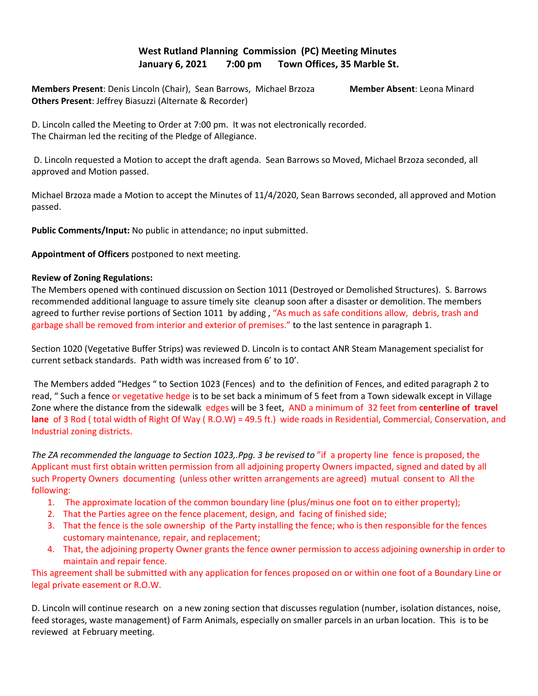## **West Rutland Planning Commission (PC) Meeting Minutes January 6, 2021 7:00 pm Town Offices, 35 Marble St.**

**Members Present**: Denis Lincoln (Chair), Sean Barrows, Michael Brzoza **Member Absent**: Leona Minard **Others Present**: Jeffrey Biasuzzi (Alternate & Recorder)

D. Lincoln called the Meeting to Order at 7:00 pm. It was not electronically recorded. The Chairman led the reciting of the Pledge of Allegiance.

 D. Lincoln requested a Motion to accept the draft agenda. Sean Barrows so Moved, Michael Brzoza seconded, all approved and Motion passed.

Michael Brzoza made a Motion to accept the Minutes of 11/4/2020, Sean Barrows seconded, all approved and Motion passed.

**Public Comments/Input:** No public in attendance; no input submitted.

**Appointment of Officers** postponed to next meeting.

## **Review of Zoning Regulations:**

The Members opened with continued discussion on Section 1011 (Destroyed or Demolished Structures). S. Barrows recommended additional language to assure timely site cleanup soon after a disaster or demolition. The members agreed to further revise portions of Section 1011 by adding, "As much as safe conditions allow, debris, trash and garbage shall be removed from interior and exterior of premises." to the last sentence in paragraph 1.

Section 1020 (Vegetative Buffer Strips) was reviewed D. Lincoln is to contact ANR Steam Management specialist for current setback standards. Path width was increased from 6' to 10'.

The Members added "Hedges " to Section 1023 (Fences) and to the definition of Fences, and edited paragraph 2 to read, " Such a fence or vegetative hedge is to be set back a minimum of 5 feet from a Town sidewalk except in Village Zone where the distance from the sidewalk edges will be 3 feet, AND a minimum of 32 feet from **centerline of travel lane** of 3 Rod ( total width of Right Of Way ( R.O.W) = 49.5 ft.) wide roads in Residential, Commercial, Conservation, and Industrial zoning districts.

*The ZA recommended the language to Section 1023,.Ppg. 3 be revised to* "if a property line fence is proposed, the Applicant must first obtain written permission from all adjoining property Owners impacted, signed and dated by all such Property Owners documenting (unless other written arrangements are agreed) mutual consent to All the following:

- 1. The approximate location of the common boundary line (plus/minus one foot on to either property);
- 2. That the Parties agree on the fence placement, design, and facing of finished side;
- 3. That the fence is the sole ownership of the Party installing the fence; who is then responsible for the fences customary maintenance, repair, and replacement;
- 4. That, the adjoining property Owner grants the fence owner permission to access adjoining ownership in order to maintain and repair fence.

This agreement shall be submitted with any application for fences proposed on or within one foot of a Boundary Line or legal private easement or R.O.W.

D. Lincoln will continue research on a new zoning section that discusses regulation (number, isolation distances, noise, feed storages, waste management) of Farm Animals, especially on smaller parcels in an urban location. This is to be reviewed at February meeting.